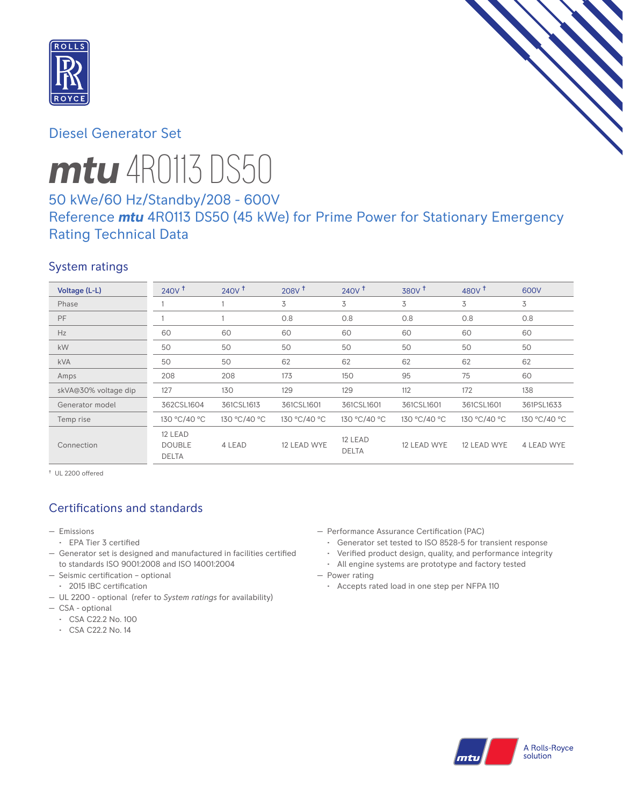

# Diesel Generator Set

# *mtu* 4R0113 DS50

# 50 kWe/60 Hz/Standby/208 - 600V Reference *mtu* 4R0113 DS50 (45 kWe) for Prime Power for Stationary Emergency Rating Technical Data

## System ratings

| Voltage (L-L)        | $240V$ <sup>+</sup>                      | 240V <sup>†</sup> | $208V$ <sup>+</sup> | $240V$ <sup>+</sup>     | 380V <sup>†</sup> | 480 $V†$     | 600V         |
|----------------------|------------------------------------------|-------------------|---------------------|-------------------------|-------------------|--------------|--------------|
| Phase                |                                          |                   | 3                   | 3                       | 3                 | 3            | 3            |
| PF                   |                                          |                   | 0.8                 | 0.8                     | 0.8               | 0.8          | 0.8          |
| Hz                   | 60                                       | 60                | 60                  | 60                      | 60                | 60           | 60           |
| <b>kW</b>            | 50                                       | 50                | 50                  | 50                      | 50                | 50           | 50           |
| <b>kVA</b>           | 50                                       | 50                | 62                  | 62                      | 62                | 62           | 62           |
| Amps                 | 208                                      | 208               | 173                 | 150                     | 95                | 75           | 60           |
| skVA@30% voltage dip | 127                                      | 130               | 129                 | 129                     | 112               | 172          | 138          |
| Generator model      | 362CSL1604                               | 361CSL1613        | 361CSL1601          | 361CSL1601              | 361CSL1601        | 361CSL1601   | 361PSL1633   |
| Temp rise            | 130 °C/40 °C                             | 130 °C/40 °C      | 130 °C/40 °C        | 130 °C/40 °C            | 130 °C/40 °C      | 130 °C/40 °C | 130 °C/40 °C |
| Connection           | 12 LEAD<br><b>DOUBLE</b><br><b>DELTA</b> | 4 LEAD            | 12 LEAD WYE         | 12 LEAD<br><b>DELTA</b> | 12 LEAD WYE       | 12 LEAD WYE  | 4 LEAD WYE   |

† UL 2200 offered

# Certifications and standards

- Emissions
	- EPA Tier 3 certified
- Generator set is designed and manufactured in facilities certified to standards ISO 9001:2008 and ISO 14001:2004
- Seismic certification optional
- 2015 IBC certification
- UL 2200 optional (refer to *System ratings* for availability)
- CSA optional
	- CSA C22.2 No. 100
	- CSA C22.2 No. 14
- Performance Assurance Certification (PAC)
	- Generator set tested to ISO 8528-5 for transient response
	- Verified product design, quality, and performance integrity
	- All engine systems are prototype and factory tested
- Power rating
	- Accepts rated load in one step per NFPA 110

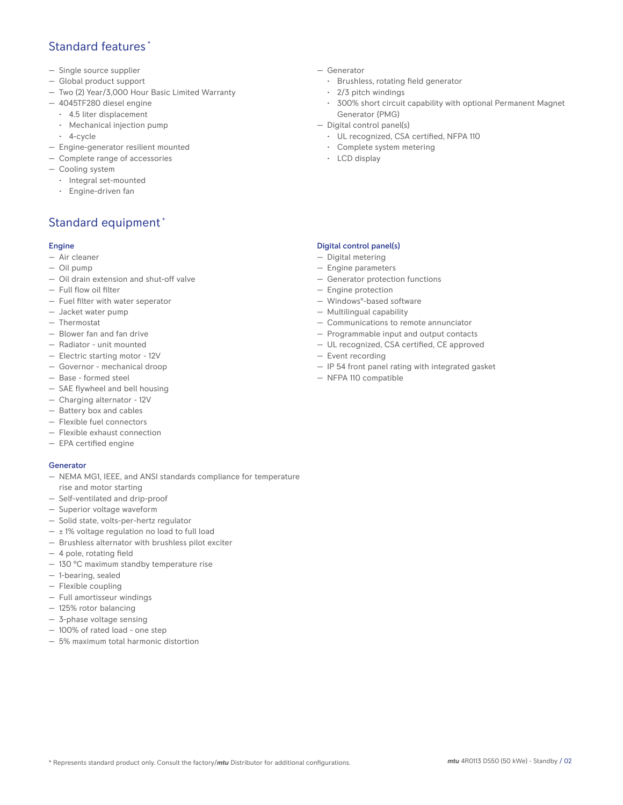## Standard features \*

- Single source supplier
- Global product support
- Two (2) Year/3,000 Hour Basic Limited Warranty
- 4045TF280 diesel engine
	- 4.5 liter displacement
	- Mechanical injection pump
	- 4-cycle
- Engine-generator resilient mounted
- Complete range of accessories
- Cooling system
- Integral set-mounted
	- Engine-driven fan

# Standard equipment \*

#### Engine

- Air cleaner
- Oil pump
- Oil drain extension and shut-off valve
- Full flow oil filter
- Fuel filter with water seperator
- Jacket water pump
- Thermostat
- Blower fan and fan drive
- Radiator unit mounted
- Electric starting motor 12V
- Governor mechanical droop
- Base formed steel
- SAE flywheel and bell housing
- Charging alternator 12V
- Battery box and cables
- Flexible fuel connectors
- Flexible exhaust connection
- EPA certified engine

#### **Generator**

- NEMA MG1, IEEE, and ANSI standards compliance for temperature rise and motor starting
- Self-ventilated and drip-proof
- Superior voltage waveform
- Solid state, volts-per-hertz regulator
- $\pm$  1% voltage regulation no load to full load
- Brushless alternator with brushless pilot exciter
- 4 pole, rotating field
- 130 °C maximum standby temperature rise
- 1-bearing, sealed
- Flexible coupling
- Full amortisseur windings
- 125% rotor balancing
- 3-phase voltage sensing
- 100% of rated load one step
- 5% maximum total harmonic distortion
- Generator
	- Brushless, rotating field generator
	- 2/3 pitch windings
	- 300% short circuit capability with optional Permanent Magnet Generator (PMG)
- Digital control panel(s)
	- UL recognized, CSA certified, NFPA 110
	- Complete system metering
	- LCD display

### Digital control panel(s)

- Digital metering
- Engine parameters
- Generator protection functions
- Engine protection
- Windows®-based software
- Multilingual capability
- Communications to remote annunciator
- Programmable input and output contacts
- UL recognized, CSA certified, CE approved
- Event recording
- IP 54 front panel rating with integrated gasket
- NFPA 110 compatible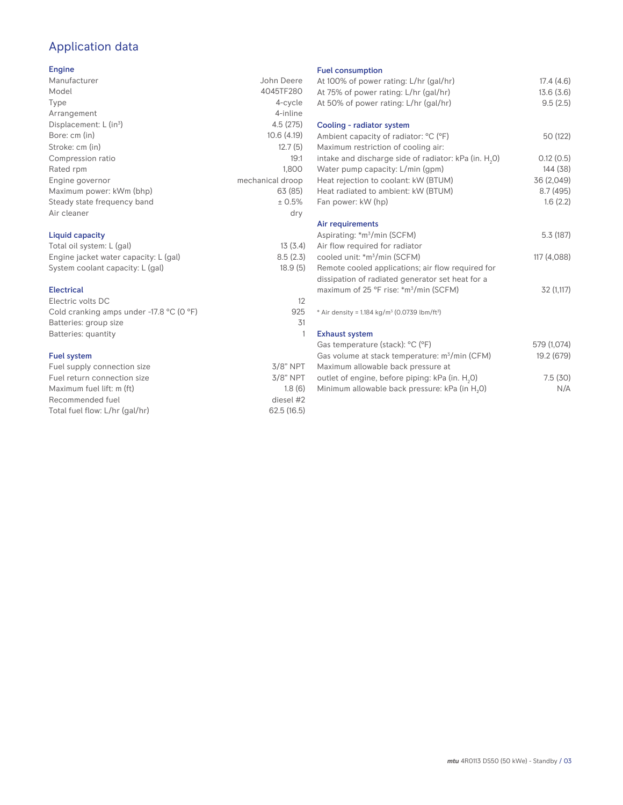# Application data

## Engine

| ------                      |                  |
|-----------------------------|------------------|
| Manufacturer                | John Deere       |
| Model                       | 4045TF280        |
| Type                        | 4-cycle          |
| Arrangement                 | 4-inline         |
| Displacement: $L (in3)$     | 4.5(275)         |
| Bore: cm (in)               | 10.6(4.19)       |
| Stroke: cm (in)             | 12.7(5)          |
| Compression ratio           | 19:1             |
| Rated rpm                   | 1.800            |
| Engine governor             | mechanical droop |
| Maximum power: kWm (bhp)    | 63 (85)          |
| Steady state frequency band | ± 0.5%           |
| Air cleaner                 | dry              |
|                             |                  |

## Liquid capacity

| Total oil system: L (gal)             | 13(3.4)  |
|---------------------------------------|----------|
| Engine jacket water capacity: L (gal) | 8.5(2.3) |
| System coolant capacity: L (gal)      | 18.9(5)  |

#### Electrical

| Electric volts DC                          |     |
|--------------------------------------------|-----|
| Cold cranking amps under $-17.8$ °C (0 °F) | 925 |
| Batteries: group size                      | 31  |
| Batteries: quantity                        |     |
|                                            |     |

## Fuel system

| $3/8"$ NPT  |
|-------------|
| $3/8$ " NPT |
| 1.8(6)      |
| diesel #2   |
| 62.5(16.5)  |
|             |

#### Fuel consumption

| <b>I GET CONSUMPTION</b>                                                |             |
|-------------------------------------------------------------------------|-------------|
| At 100% of power rating: L/hr (gal/hr)                                  | 17.4(4.6)   |
| At 75% of power rating: L/hr (gal/hr)                                   | 13.6(3.6)   |
| At 50% of power rating: L/hr (gal/hr)                                   | 9.5(2.5)    |
|                                                                         |             |
| Cooling - radiator system                                               |             |
| Ambient capacity of radiator: °C (°F)                                   | 50 (122)    |
| Maximum restriction of cooling air:                                     |             |
| intake and discharge side of radiator: kPa (in. H <sub>2</sub> O)       | 0.12(0.5)   |
| Water pump capacity: L/min (gpm)                                        | 144 (38)    |
| Heat rejection to coolant: kW (BTUM)                                    | 36 (2,049)  |
| Heat radiated to ambient: kW (BTUM)                                     | 8.7(495)    |
| Fan power: kW (hp)                                                      | 1.6(2.2)    |
|                                                                         |             |
| Air requirements                                                        |             |
| Aspirating: *m <sup>3</sup> /min (SCFM)                                 | 5.3(187)    |
| Air flow required for radiator                                          |             |
| cooled unit: *m <sup>3</sup> /min (SCFM)                                | 117 (4,088) |
| Remote cooled applications; air flow required for                       |             |
| dissipation of radiated generator set heat for a                        |             |
| maximum of 25 °F rise: *m <sup>3</sup> /min (SCFM)                      | 32 (1,117)  |
|                                                                         |             |
| * Air density = $1.184$ kg/m <sup>3</sup> (0.0739 lbm/ft <sup>3</sup> ) |             |
|                                                                         |             |
| <b>Exhaust system</b>                                                   |             |
| Gas temperature (stack): °C (°F)                                        | 579 (1,074) |
| Gas volume at stack temperature: m <sup>3</sup> /min (CFM)              | 19.2 (679)  |
| Maximum allowable back pressure at                                      |             |
| outlet of engine, before piping: kPa (in. H <sub>2</sub> 0)             | 7.5(30)     |
| Minimum allowable back pressure: kPa (in H <sub>2</sub> 0)              | N/A         |
|                                                                         |             |